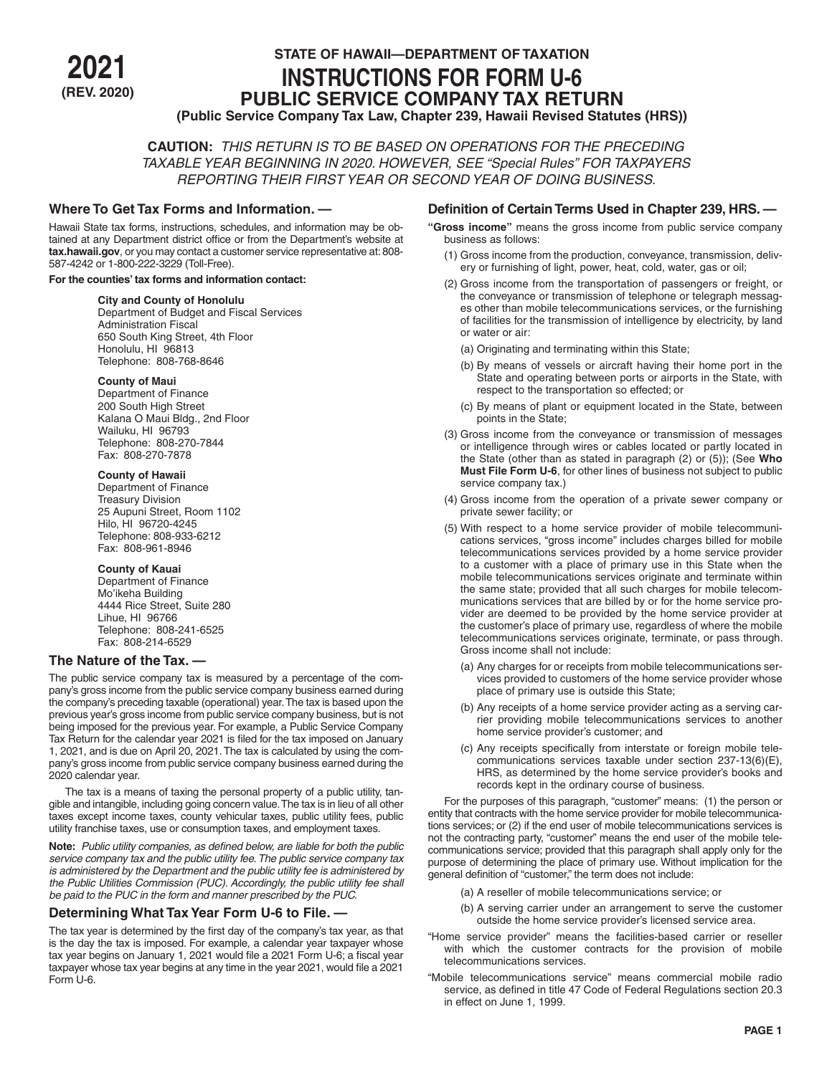# **STATE OF HAWAII—DEPARTMENT OF TAXATION<br>INSTRUCTIONS FOR FORM U-6<br>PUBLIC SERVICE COMPANY TAX RETURN (REV. 2020) PUBLIC SERVICE COMPANY TAX RETURN (Public Service Company Tax Law, Chapter 239, Hawaii Revised Statutes (HRS))**

**CAUTION:** *THIS RETURN IS TO BE BASED ON OPERATIONS FOR THE PRECEDING TAXABLE YEAR BEGINNING IN 2020. HOWEVER, SEE "Special Rules" FOR TAXPAYERS REPORTING THEIR FIRST YEAR OR SECOND YEAR OF DOING BUSINESS.*

# **Where To Get Tax Forms and Information. —**

Hawaii State tax forms, instructions, schedules, and information may be obtained at any Department district office or from the Department's website at **tax.hawaii.gov**, or you may contact a customer service representative at: 808- 587-4242 or 1-800-222-3229 (Toll-Free).

## **For the counties' tax forms and information contact:**

## **City and County of Honolulu**

Department of Budget and Fiscal Services Administration Fiscal 650 South King Street, 4th Floor Honolulu, HI 96813 Telephone: 808-768-8646

### **County of Maui**

Department of Finance 200 South High Street Kalana O Maui Bldg., 2nd Floor Wailuku, HI 96793 Telephone: 808-270-7844 Fax: 808-270-7878

## **County of Hawaii**

Department of Finance Treasury Division 25 Aupuni Street, Room 1102 Hilo, HI 96720-4245 Telephone: 808-933-6212 Fax: 808-961-8946

## **County of Kauai**

Department of Finance Mo'ikeha Building 4444 Rice Street, Suite 280 Lihue, HI 96766 Telephone: 808-241-6525 Fax: 808-214-6529

# **The Nature of the Tax. —**

The public service company tax is measured by a percentage of the company's gross income from the public service company business earned during the company's preceding taxable (operational) year. The tax is based upon the previous year's gross income from public service company business, but is not being imposed for the previous year. For example, a Public Service Company Tax Return for the calendar year 2021 is filed for the tax imposed on January 1, 2021, and is due on April 20, 2021. The tax is calculated by using the company's gross income from public service company business earned during the 2020 calendar year.

The tax is a means of taxing the personal property of a public utility, tangible and intangible, including going concern value. The tax is in lieu of all other taxes except income taxes, county vehicular taxes, public utility fees, public utility franchise taxes, use or consumption taxes, and employment taxes.

**Note:** *Public utility companies, as defined below, are liable for both the public service company tax and the public utility fee. The public service company tax is administered by the Department and the public utility fee is administered by the Public Utilities Commission (PUC). Accordingly, the public utility fee shall be paid to the PUC in the form and manner prescribed by the PUC.*

# **Determining What Tax Year Form U-6 to File. —**

The tax year is determined by the first day of the company's tax year, as that is the day the tax is imposed. For example, a calendar year taxpayer whose tax year begins on January 1, 2021 would file a 2021 Form U-6; a fiscal year taxpayer whose tax year begins at any time in the year 2021, would file a 2021 Form U-6.

# **Definition of Certain Terms Used in Chapter 239, HRS. —**

- **"Gross income"** means the gross income from public service company business as follows:
	- (1) Gross income from the production, conveyance, transmission, delivery or furnishing of light, power, heat, cold, water, gas or oil;
	- (2) Gross income from the transportation of passengers or freight, or the conveyance or transmission of telephone or telegraph messages other than mobile telecommunications services, or the furnishing of facilities for the transmission of intelligence by electricity, by land or water or air:
		- (a) Originating and terminating within this State;
		- (b) By means of vessels or aircraft having their home port in the State and operating between ports or airports in the State, with respect to the transportation so effected; or
		- (c) By means of plant or equipment located in the State, between points in the State;
	- (3) Gross income from the conveyance or transmission of messages or intelligence through wires or cables located or partly located in the State (other than as stated in paragraph (2) or (5)); (See **Who Must File Form U-6**, for other lines of business not subject to public service company tax.)
	- (4) Gross income from the operation of a private sewer company or private sewer facility; or
	- (5) With respect to a home service provider of mobile telecommunications services, "gross income" includes charges billed for mobile telecommunications services provided by a home service provider to a customer with a place of primary use in this State when the mobile telecommunications services originate and terminate within the same state; provided that all such charges for mobile telecommunications services that are billed by or for the home service provider are deemed to be provided by the home service provider at the customer's place of primary use, regardless of where the mobile telecommunications services originate, terminate, or pass through. Gross income shall not include:
		- (a) Any charges for or receipts from mobile telecommunications services provided to customers of the home service provider whose place of primary use is outside this State;
		- (b) Any receipts of a home service provider acting as a serving carrier providing mobile telecommunications services to another home service provider's customer; and
		- (c) Any receipts specifically from interstate or foreign mobile telecommunications services taxable under section 237-13(6)(E), HRS, as determined by the home service provider's books and records kept in the ordinary course of business.

For the purposes of this paragraph, "customer" means: (1) the person or entity that contracts with the home service provider for mobile telecommunications services; or (2) if the end user of mobile telecommunications services is not the contracting party, "customer" means the end user of the mobile telecommunications service; provided that this paragraph shall apply only for the purpose of determining the place of primary use. Without implication for the general definition of "customer," the term does not include:

- (a) A reseller of mobile telecommunications service; or
- (b) A serving carrier under an arrangement to serve the customer outside the home service provider's licensed service area.
- "Home service provider" means the facilities-based carrier or reseller with which the customer contracts for the provision of mobile telecommunications services.
- "Mobile telecommunications service" means commercial mobile radio service, as defined in title 47 Code of Federal Regulations section 20.3 in effect on June 1, 1999.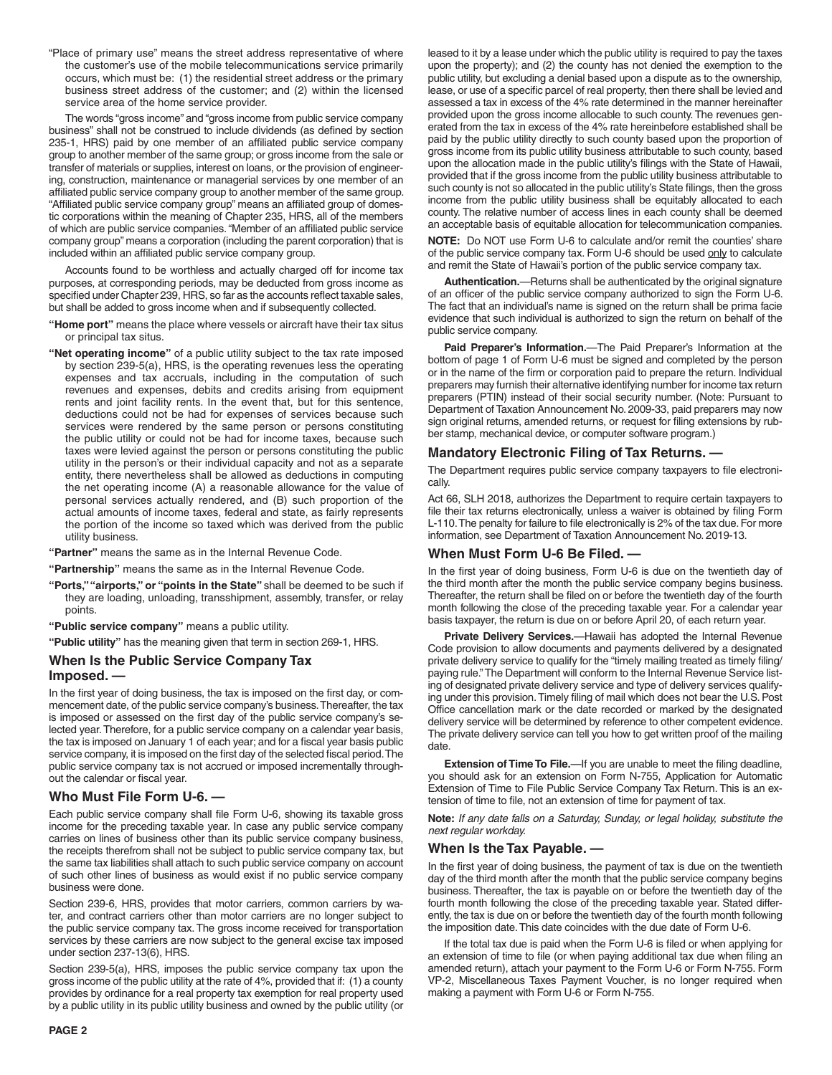"Place of primary use" means the street address representative of where the customer's use of the mobile telecommunications service primarily occurs, which must be: (1) the residential street address or the primary business street address of the customer; and (2) within the licensed service area of the home service provider.

The words "gross income" and "gross income from public service company business" shall not be construed to include dividends (as defined by section 235-1, HRS) paid by one member of an affiliated public service company group to another member of the same group; or gross income from the sale or transfer of materials or supplies, interest on loans, or the provision of engineering, construction, maintenance or managerial services by one member of an affiliated public service company group to another member of the same group. "Affiliated public service company group" means an affiliated group of domestic corporations within the meaning of Chapter 235, HRS, all of the members of which are public service companies. "Member of an affiliated public service company group" means a corporation (including the parent corporation) that is included within an affiliated public service company group.

Accounts found to be worthless and actually charged off for income tax purposes, at corresponding periods, may be deducted from gross income as specified under Chapter 239, HRS, so far as the accounts reflect taxable sales, but shall be added to gross income when and if subsequently collected.

- **"Home port"** means the place where vessels or aircraft have their tax situs or principal tax situs.
- **"Net operating income"** of a public utility subject to the tax rate imposed by section 239-5(a), HRS, is the operating revenues less the operating expenses and tax accruals, including in the computation of such revenues and expenses, debits and credits arising from equipment rents and joint facility rents. In the event that, but for this sentence, deductions could not be had for expenses of services because such services were rendered by the same person or persons constituting the public utility or could not be had for income taxes, because such taxes were levied against the person or persons constituting the public utility in the person's or their individual capacity and not as a separate entity, there nevertheless shall be allowed as deductions in computing the net operating income (A) a reasonable allowance for the value of personal services actually rendered, and (B) such proportion of the actual amounts of income taxes, federal and state, as fairly represents the portion of the income so taxed which was derived from the public utility business.
- **"Partner"** means the same as in the Internal Revenue Code.
- **"Partnership"** means the same as in the Internal Revenue Code.
- **"Ports," "airports," or "points in the State"** shall be deemed to be such if they are loading, unloading, transshipment, assembly, transfer, or relay points.
- **"Public service company"** means a public utility.
- **"Public utility"** has the meaning given that term in section 269-1, HRS.

# **When Is the Public Service Company Tax**

**Imposed. —**

In the first year of doing business, the tax is imposed on the first day, or commencement date, of the public service company's business. Thereafter, the tax is imposed or assessed on the first day of the public service company's selected year. Therefore, for a public service company on a calendar year basis, the tax is imposed on January 1 of each year; and for a fiscal year basis public service company, it is imposed on the first day of the selected fiscal period. The public service company tax is not accrued or imposed incrementally throughout the calendar or fiscal year.

# **Who Must File Form U-6. —**

Each public service company shall file Form U-6, showing its taxable gross income for the preceding taxable year. In case any public service company carries on lines of business other than its public service company business, the receipts therefrom shall not be subject to public service company tax, but the same tax liabilities shall attach to such public service company on account of such other lines of business as would exist if no public service company business were done.

Section 239-6, HRS, provides that motor carriers, common carriers by water, and contract carriers other than motor carriers are no longer subject to the public service company tax. The gross income received for transportation services by these carriers are now subject to the general excise tax imposed under section 237-13(6), HRS.

Section 239-5(a), HRS, imposes the public service company tax upon the gross income of the public utility at the rate of 4%, provided that if: (1) a county provides by ordinance for a real property tax exemption for real property used by a public utility in its public utility business and owned by the public utility (or

leased to it by a lease under which the public utility is required to pay the taxes upon the property); and (2) the county has not denied the exemption to the public utility, but excluding a denial based upon a dispute as to the ownership, lease, or use of a specific parcel of real property, then there shall be levied and assessed a tax in excess of the 4% rate determined in the manner hereinafter provided upon the gross income allocable to such county. The revenues generated from the tax in excess of the 4% rate hereinbefore established shall be paid by the public utility directly to such county based upon the proportion of gross income from its public utility business attributable to such county, based upon the allocation made in the public utility's filings with the State of Hawaii, provided that if the gross income from the public utility business attributable to such county is not so allocated in the public utility's State filings, then the gross income from the public utility business shall be equitably allocated to each county. The relative number of access lines in each county shall be deemed an acceptable basis of equitable allocation for telecommunication companies.

**NOTE:** Do NOT use Form U-6 to calculate and/or remit the counties' share of the public service company tax. Form U-6 should be used only to calculate and remit the State of Hawaii's portion of the public service company tax.

**Authentication.**—Returns shall be authenticated by the original signature of an officer of the public service company authorized to sign the Form U-6. The fact that an individual's name is signed on the return shall be prima facie evidence that such individual is authorized to sign the return on behalf of the public service company.

**Paid Preparer's Information.**—The Paid Preparer's Information at the bottom of page 1 of Form U-6 must be signed and completed by the person or in the name of the firm or corporation paid to prepare the return. Individual preparers may furnish their alternative identifying number for income tax return preparers (PTIN) instead of their social security number. (Note: Pursuant to Department of Taxation Announcement No. 2009-33, paid preparers may now sign original returns, amended returns, or request for filing extensions by rubber stamp, mechanical device, or computer software program.)

## **Mandatory Electronic Filing of Tax Returns. —**

The Department requires public service company taxpayers to file electronically.

Act 66, SLH 2018, authorizes the Department to require certain taxpayers to file their tax returns electronically, unless a waiver is obtained by filing Form L-110. The penalty for failure to file electronically is 2% of the tax due. For more information, see Department of Taxation Announcement No. 2019-13.

# **When Must Form U-6 Be Filed. —**

In the first year of doing business, Form U-6 is due on the twentieth day of the third month after the month the public service company begins business. Thereafter, the return shall be filed on or before the twentieth day of the fourth month following the close of the preceding taxable year. For a calendar year basis taxpayer, the return is due on or before April 20, of each return year.

**Private Delivery Services.**—Hawaii has adopted the Internal Revenue Code provision to allow documents and payments delivered by a designated private delivery service to qualify for the "timely mailing treated as timely filing/ paying rule." The Department will conform to the Internal Revenue Service listing of designated private delivery service and type of delivery services qualifying under this provision. Timely filing of mail which does not bear the U.S. Post Office cancellation mark or the date recorded or marked by the designated delivery service will be determined by reference to other competent evidence. The private delivery service can tell you how to get written proof of the mailing date.

**Extension of Time To File.**—If you are unable to meet the filing deadline, you should ask for an extension on Form N-755, Application for Automatic Extension of Time to File Public Service Company Tax Return. This is an extension of time to file, not an extension of time for payment of tax.

**Note:** *If any date falls on a Saturday, Sunday, or legal holiday, substitute the next regular workday.*

## **When Is the Tax Payable. —**

In the first year of doing business, the payment of tax is due on the twentieth day of the third month after the month that the public service company begins business. Thereafter, the tax is payable on or before the twentieth day of the fourth month following the close of the preceding taxable year. Stated differently, the tax is due on or before the twentieth day of the fourth month following the imposition date. This date coincides with the due date of Form U-6.

If the total tax due is paid when the Form U-6 is filed or when applying for an extension of time to file (or when paying additional tax due when filing an amended return), attach your payment to the Form U-6 or Form N-755. Form VP-2, Miscellaneous Taxes Payment Voucher, is no longer required when making a payment with Form U-6 or Form N-755.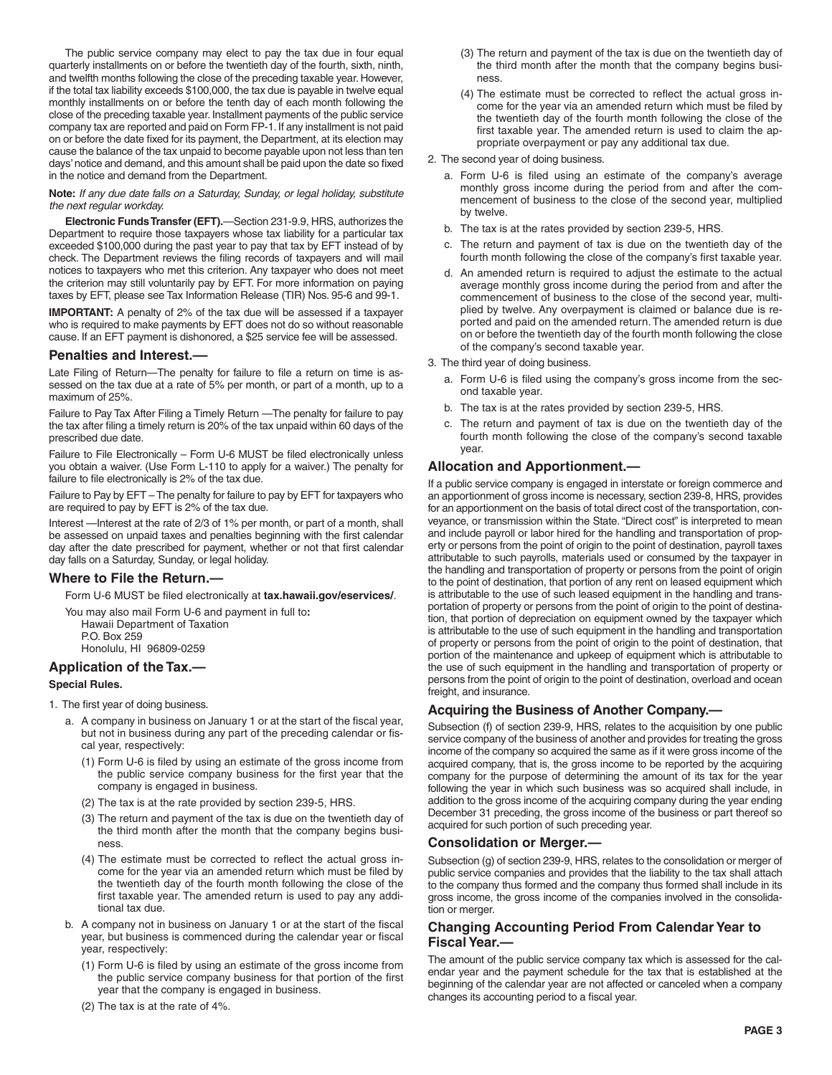The public service company may elect to pay the tax due in four equal quarterly installments on or before the twentieth day of the fourth, sixth, ninth, and twelfth months following the close of the preceding taxable year. However, if the total tax liability exceeds \$100,000, the tax due is payable in twelve equal monthly installments on or before the tenth day of each month following the close of the preceding taxable year. Installment payments of the public service company tax are reported and paid on Form FP-1. If any installment is not paid on or before the date fixed for its payment, the Department, at its election may cause the balance of the tax unpaid to become payable upon not less than ten days' notice and demand, and this amount shall be paid upon the date so fixed in the notice and demand from the Department.

**Note:** *If any due date falls on a Saturday, Sunday, or legal holiday, substitute the next regular workday.*

**Electronic Funds Transfer (EFT).**—Section 231-9.9, HRS, authorizes the Department to require those taxpayers whose tax liability for a particular tax exceeded \$100,000 during the past year to pay that tax by EFT instead of by check. The Department reviews the filing records of taxpayers and will mail notices to taxpayers who met this criterion. Any taxpayer who does not meet the criterion may still voluntarily pay by EFT. For more information on paying taxes by EFT, please see Tax Information Release (TIR) Nos. 95-6 and 99-1.

**IMPORTANT:** A penalty of 2% of the tax due will be assessed if a taxpayer who is required to make payments by EFT does not do so without reasonable cause. If an EFT payment is dishonored, a \$25 service fee will be assessed.

## **Penalties and Interest.––**

Late Filing of Return—The penalty for failure to file a return on time is assessed on the tax due at a rate of 5% per month, or part of a month, up to a maximum of 25%.

Failure to Pay Tax After Filing a Timely Return —The penalty for failure to pay the tax after filing a timely return is 20% of the tax unpaid within 60 days of the prescribed due date.

Failure to File Electronically – Form U-6 MUST be filed electronically unless you obtain a waiver. (Use Form L-110 to apply for a waiver.) The penalty for failure to file electronically is 2% of the tax due.

Failure to Pay by EFT – The penalty for failure to pay by EFT for taxpayers who are required to pay by EFT is 2% of the tax due.

Interest —Interest at the rate of 2/3 of 1% per month, or part of a month, shall be assessed on unpaid taxes and penalties beginning with the first calendar day after the date prescribed for payment, whether or not that first calendar day falls on a Saturday, Sunday, or legal holiday.

## **Where to File the Return.—**

Form U-6 MUST be filed electronically at **tax.hawaii.gov/eservices/**.

You may also mail Form U-6 and payment in full to**:** Hawaii Department of Taxation P.O. Box 259 Honolulu, HI 96809-0259

# **Application of the Tax.—**

### **Special Rules.**

- 1. The first year of doing business.
	- a. A company in business on January 1 or at the start of the fiscal year, but not in business during any part of the preceding calendar or fiscal year, respectively:
		- (1) Form U-6 is filed by using an estimate of the gross income from the public service company business for the first year that the company is engaged in business.
		- (2) The tax is at the rate provided by section 239-5, HRS.
		- (3) The return and payment of the tax is due on the twentieth day of the third month after the month that the company begins business.
		- (4) The estimate must be corrected to reflect the actual gross income for the year via an amended return which must be filed by the twentieth day of the fourth month following the close of the first taxable year. The amended return is used to pay any additional tax due.
	- b. A company not in business on January 1 or at the start of the fiscal year, but business is commenced during the calendar year or fiscal year, respectively:
		- (1) Form U-6 is filed by using an estimate of the gross income from the public service company business for that portion of the first year that the company is engaged in business.
		- (2) The tax is at the rate of 4%.
- (3) The return and payment of the tax is due on the twentieth day of the third month after the month that the company begins business.
- (4) The estimate must be corrected to reflect the actual gross income for the year via an amended return which must be filed by the twentieth day of the fourth month following the close of the first taxable year. The amended return is used to claim the appropriate overpayment or pay any additional tax due.
- 2. The second year of doing business.
	- a. Form U-6 is filed using an estimate of the company's average monthly gross income during the period from and after the commencement of business to the close of the second year, multiplied by twelve.
	- b. The tax is at the rates provided by section 239-5, HRS.
	- c. The return and payment of tax is due on the twentieth day of the fourth month following the close of the company's first taxable year.
	- d. An amended return is required to adjust the estimate to the actual average monthly gross income during the period from and after the commencement of business to the close of the second year, multiplied by twelve. Any overpayment is claimed or balance due is reported and paid on the amended return. The amended return is due on or before the twentieth day of the fourth month following the close of the company's second taxable year.
- 3. The third year of doing business.
	- a. Form U-6 is filed using the company's gross income from the second taxable year.
	- b. The tax is at the rates provided by section 239-5, HRS.
	- c. The return and payment of tax is due on the twentieth day of the fourth month following the close of the company's second taxable year.

## **Allocation and Apportionment.—**

If a public service company is engaged in interstate or foreign commerce and an apportionment of gross income is necessary, section 239-8, HRS, provides for an apportionment on the basis of total direct cost of the transportation, conveyance, or transmission within the State. "Direct cost" is interpreted to mean and include payroll or labor hired for the handling and transportation of property or persons from the point of origin to the point of destination, payroll taxes attributable to such payrolls, materials used or consumed by the taxpayer in the handling and transportation of property or persons from the point of origin to the point of destination, that portion of any rent on leased equipment which is attributable to the use of such leased equipment in the handling and transportation of property or persons from the point of origin to the point of destination, that portion of depreciation on equipment owned by the taxpayer which is attributable to the use of such equipment in the handling and transportation of property or persons from the point of origin to the point of destination, that portion of the maintenance and upkeep of equipment which is attributable to the use of such equipment in the handling and transportation of property or persons from the point of origin to the point of destination, overload and ocean freight, and insurance.

# **Acquiring the Business of Another Company.—**

Subsection (f) of section 239-9, HRS, relates to the acquisition by one public service company of the business of another and provides for treating the gross income of the company so acquired the same as if it were gross income of the acquired company, that is, the gross income to be reported by the acquiring company for the purpose of determining the amount of its tax for the year following the year in which such business was so acquired shall include, in addition to the gross income of the acquiring company during the year ending December 31 preceding, the gross income of the business or part thereof so acquired for such portion of such preceding year.

## **Consolidation or Merger.—**

Subsection (g) of section 239-9, HRS, relates to the consolidation or merger of public service companies and provides that the liability to the tax shall attach to the company thus formed and the company thus formed shall include in its gross income, the gross income of the companies involved in the consolidation or merger.

# **Changing Accounting Period From Calendar Year to Fiscal Year.—**

The amount of the public service company tax which is assessed for the calendar year and the payment schedule for the tax that is established at the beginning of the calendar year are not affected or canceled when a company changes its accounting period to a fiscal year.